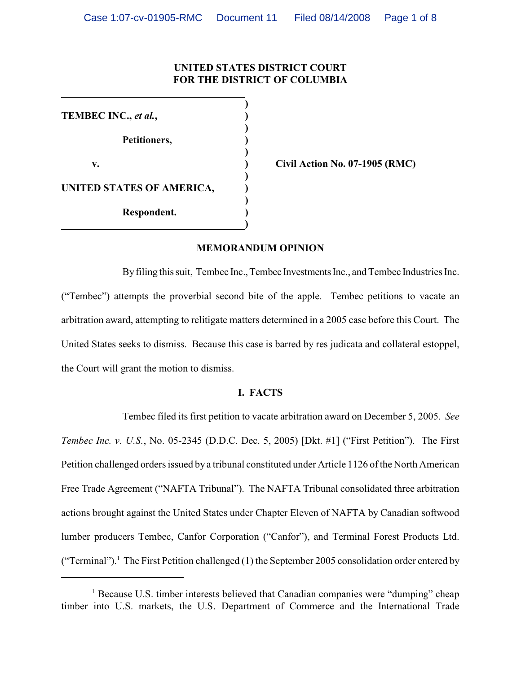# **UNITED STATES DISTRICT COURT FOR THE DISTRICT OF COLUMBIA**

**)**

**)**

**)**

**)**

**)**

**)**

**TEMBEC INC.,** *et al.***, ) Petitioners, ) v. ) Civil Action No. 07-1905 (RMC) UNITED STATES OF AMERICA, ) Respondent. )**

### **MEMORANDUM OPINION**

By filing this suit, Tembec Inc., Tembec Investments Inc., and Tembec Industries Inc. ("Tembec") attempts the proverbial second bite of the apple. Tembec petitions to vacate an arbitration award, attempting to relitigate matters determined in a 2005 case before this Court. The United States seeks to dismiss. Because this case is barred by res judicata and collateral estoppel, the Court will grant the motion to dismiss.

### **I. FACTS**

Tembec filed its first petition to vacate arbitration award on December 5, 2005. *See Tembec Inc. v. U.S.*, No. 05-2345 (D.D.C. Dec. 5, 2005) [Dkt. #1] ("First Petition"). The First Petition challenged orders issued by a tribunal constituted under Article 1126 of the North American Free Trade Agreement ("NAFTA Tribunal"). The NAFTA Tribunal consolidated three arbitration actions brought against the United States under Chapter Eleven of NAFTA by Canadian softwood lumber producers Tembec, Canfor Corporation ("Canfor"), and Terminal Forest Products Ltd. ("Terminal").<sup>1</sup> The First Petition challenged (1) the September 2005 consolidation order entered by

 $<sup>1</sup>$  Because U.S. timber interests believed that Canadian companies were "dumping" cheap</sup> timber into U.S. markets, the U.S. Department of Commerce and the International Trade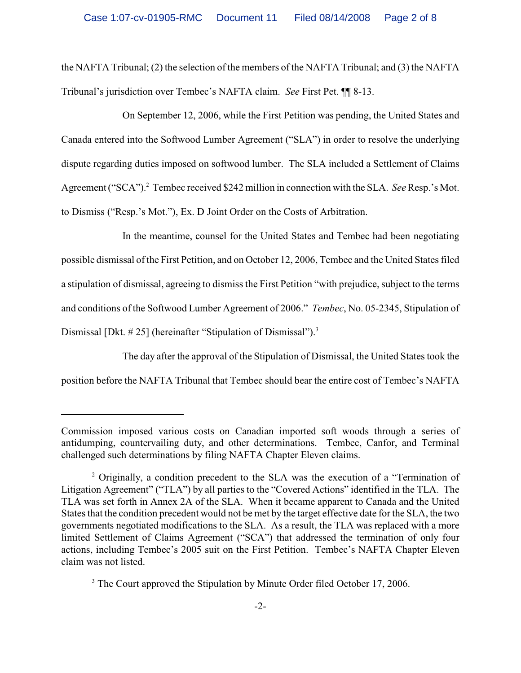the NAFTA Tribunal; (2) the selection of the members of the NAFTA Tribunal; and (3) the NAFTA Tribunal's jurisdiction over Tembec's NAFTA claim. *See* First Pet. ¶¶ 8-13.

On September 12, 2006, while the First Petition was pending, the United States and Canada entered into the Softwood Lumber Agreement ("SLA") in order to resolve the underlying dispute regarding duties imposed on softwood lumber. The SLA included a Settlement of Claims Agreement ("SCA").<sup>2</sup> Tembec received \$242 million in connection with the SLA. *See* Resp.'s Mot. to Dismiss ("Resp.'s Mot."), Ex. D Joint Order on the Costs of Arbitration.

In the meantime, counsel for the United States and Tembec had been negotiating possible dismissal of the First Petition, and on October 12, 2006, Tembec and the United States filed a stipulation of dismissal, agreeing to dismissthe First Petition "with prejudice, subject to the terms and conditions of the Softwood Lumber Agreement of 2006." *Tembec*, No. 05-2345, Stipulation of Dismissal [Dkt. # 25] (hereinafter "Stipulation of Dismissal").<sup>3</sup>

The day after the approval of the Stipulation of Dismissal, the United States took the position before the NAFTA Tribunal that Tembec should bear the entire cost of Tembec's NAFTA

Commission imposed various costs on Canadian imported soft woods through a series of antidumping, countervailing duty, and other determinations. Tembec, Canfor, and Terminal challenged such determinations by filing NAFTA Chapter Eleven claims.

 $\alpha$ <sup>2</sup> Originally, a condition precedent to the SLA was the execution of a "Termination of Litigation Agreement" ("TLA") by all parties to the "Covered Actions" identified in the TLA. The TLA was set forth in Annex 2A of the SLA. When it became apparent to Canada and the United States that the condition precedent would not be met by the target effective date for the SLA, the two governments negotiated modifications to the SLA. As a result, the TLA was replaced with a more limited Settlement of Claims Agreement ("SCA") that addressed the termination of only four actions, including Tembec's 2005 suit on the First Petition. Tembec's NAFTA Chapter Eleven claim was not listed.

<sup>&</sup>lt;sup>3</sup> The Court approved the Stipulation by Minute Order filed October 17, 2006.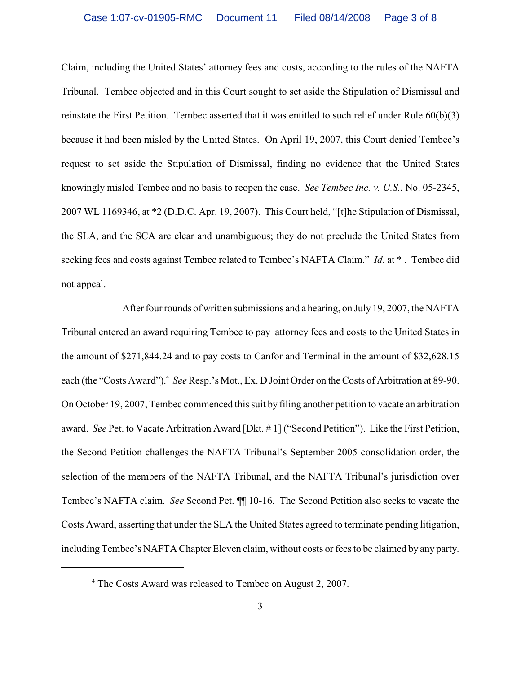Claim, including the United States' attorney fees and costs, according to the rules of the NAFTA Tribunal. Tembec objected and in this Court sought to set aside the Stipulation of Dismissal and reinstate the First Petition. Tembec asserted that it was entitled to such relief under Rule 60(b)(3) because it had been misled by the United States. On April 19, 2007, this Court denied Tembec's request to set aside the Stipulation of Dismissal, finding no evidence that the United States knowingly misled Tembec and no basis to reopen the case. *See Tembec Inc. v. U.S.*, No. 05-2345, 2007 WL 1169346, at \*2 (D.D.C. Apr. 19, 2007). This Court held, "[t]he Stipulation of Dismissal, the SLA, and the SCA are clear and unambiguous; they do not preclude the United States from seeking fees and costs against Tembec related to Tembec's NAFTA Claim." *Id*. at \* . Tembec did not appeal.

After four rounds of written submissions and a hearing, on July 19, 2007, the NAFTA Tribunal entered an award requiring Tembec to pay attorney fees and costs to the United States in the amount of \$271,844.24 and to pay costs to Canfor and Terminal in the amount of \$32,628.15 each (the "Costs Award"). <sup>4</sup> See Resp.'s Mot., Ex. D Joint Order on the Costs of Arbitration at 89-90. On October 19, 2007, Tembec commenced this suit by filing another petition to vacate an arbitration award. *See* Pet. to Vacate Arbitration Award [Dkt. # 1] ("Second Petition"). Like the First Petition, the Second Petition challenges the NAFTA Tribunal's September 2005 consolidation order, the selection of the members of the NAFTA Tribunal, and the NAFTA Tribunal's jurisdiction over Tembec's NAFTA claim. *See* Second Pet. ¶¶ 10-16. The Second Petition also seeks to vacate the Costs Award, asserting that under the SLA the United States agreed to terminate pending litigation, including Tembec's NAFTA Chapter Eleven claim, without costs or fees to be claimed by any party.

<sup>&</sup>lt;sup>4</sup> The Costs Award was released to Tembec on August 2, 2007.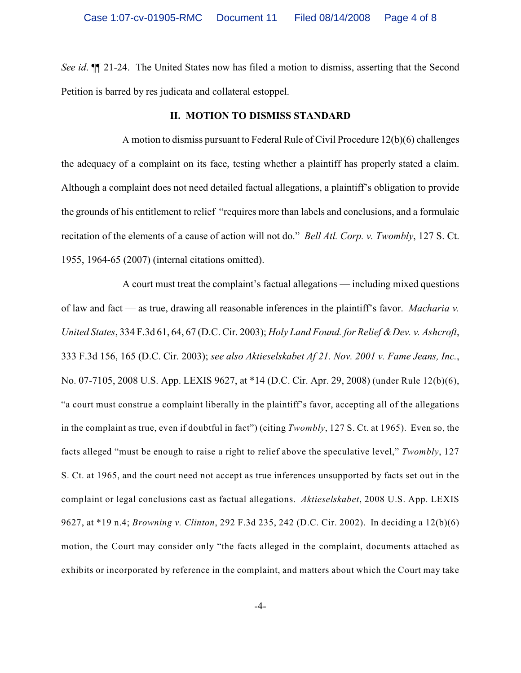*See id*. ¶¶ 21-24. The United States now has filed a motion to dismiss, asserting that the Second Petition is barred by res judicata and collateral estoppel.

#### **II. MOTION TO DISMISS STANDARD**

A motion to dismiss pursuant to Federal Rule of Civil Procedure 12(b)(6) challenges the adequacy of a complaint on its face, testing whether a plaintiff has properly stated a claim. Although a complaint does not need detailed factual allegations, a plaintiff's obligation to provide the grounds of his entitlement to relief "requires more than labels and conclusions, and a formulaic recitation of the elements of a cause of action will not do." *Bell Atl. Corp. v. Twombly*, 127 S. Ct. 1955, 1964-65 (2007) (internal citations omitted).

A court must treat the complaint's factual allegations — including mixed questions of law and fact — as true, drawing all reasonable inferences in the plaintiff's favor. *Macharia v. United States*, 334 F.3d 61, 64, 67 (D.C. Cir. 2003); *Holy Land Found. for Relief & Dev. v. Ashcroft*, 333 F.3d 156, 165 (D.C. Cir. 2003); *see also Aktieselskabet Af 21. Nov. 2001 v. Fame Jeans, Inc.*, No. 07-7105, 2008 U.S. App. LEXIS 9627, at \*14 (D.C. Cir. Apr. 29, 2008) (under Rule 12(b)(6), "a court must construe a complaint liberally in the plaintiff's favor, accepting all of the allegations in the complaint as true, even if doubtful in fact") (citing *Twombly*, 127 S. Ct. at 1965). Even so, the facts alleged "must be enough to raise a right to relief above the speculative level," *Twombly*, 127 S. Ct. at 1965, and the court need not accept as true inferences unsupported by facts set out in the complaint or legal conclusions cast as factual allegations. *Aktieselskabet*, 2008 U.S. App. LEXIS 9627, at \*19 n.4; *Browning v. Clinton*, 292 F.3d 235, 242 (D.C. Cir. 2002). In deciding a 12(b)(6) motion, the Court may consider only "the facts alleged in the complaint, documents attached as exhibits or incorporated by reference in the complaint, and matters about which the Court may take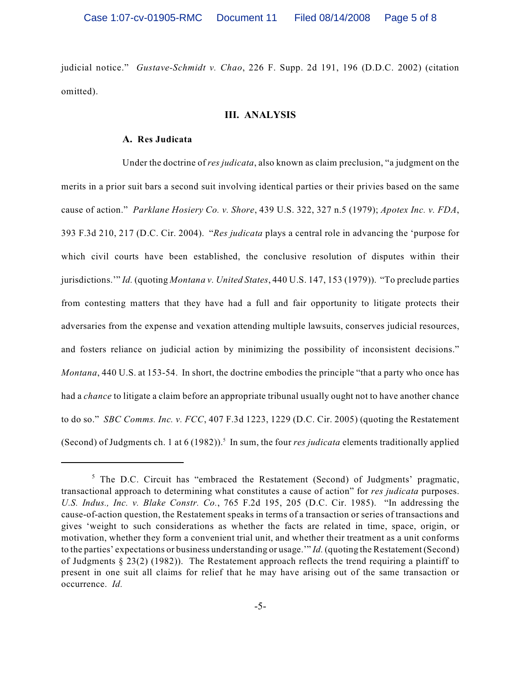judicial notice." *Gustave-Schmidt v. Chao*, 226 F. Supp. 2d 191, 196 (D.D.C. 2002) (citation omitted).

### **III. ANALYSIS**

#### **A. Res Judicata**

Under the doctrine of *res judicata*, also known as claim preclusion, "a judgment on the merits in a prior suit bars a second suit involving identical parties or their privies based on the same cause of action." *Parklane Hosiery Co. v. Shore*, 439 U.S. 322, 327 n.5 (1979); *Apotex Inc. v. FDA*, 393 F.3d 210, 217 (D.C. Cir. 2004). "*Res judicata* plays a central role in advancing the 'purpose for which civil courts have been established, the conclusive resolution of disputes within their jurisdictions.'" *Id.* (quoting *Montana v. United States*, 440 U.S. 147, 153 (1979)). "To preclude parties from contesting matters that they have had a full and fair opportunity to litigate protects their adversaries from the expense and vexation attending multiple lawsuits, conserves judicial resources, and fosters reliance on judicial action by minimizing the possibility of inconsistent decisions." *Montana*, 440 U.S. at 153-54. In short, the doctrine embodies the principle "that a party who once has had a *chance* to litigate a claim before an appropriate tribunal usually ought not to have another chance to do so." *SBC Comms. Inc. v. FCC*, 407 F.3d 1223, 1229 (D.C. Cir. 2005) (quoting the Restatement (Second) of Judgments ch. 1 at  $6(1982)$ ).<sup>5</sup> In sum, the four *res judicata* elements traditionally applied

 $5$  The D.C. Circuit has "embraced the Restatement (Second) of Judgments' pragmatic, transactional approach to determining what constitutes a cause of action" for *res judicata* purposes. *U.S. Indus., Inc. v. Blake Constr. Co.*, 765 F.2d 195, 205 (D.C. Cir. 1985). "In addressing the cause-of-action question, the Restatement speaks in terms of a transaction or series of transactions and gives 'weight to such considerations as whether the facts are related in time, space, origin, or motivation, whether they form a convenient trial unit, and whether their treatment as a unit conforms to the parties' expectations or business understanding or usage.'" *Id.* (quoting the Restatement (Second) of Judgments § 23(2) (1982)). The Restatement approach reflects the trend requiring a plaintiff to present in one suit all claims for relief that he may have arising out of the same transaction or occurrence. *Id.*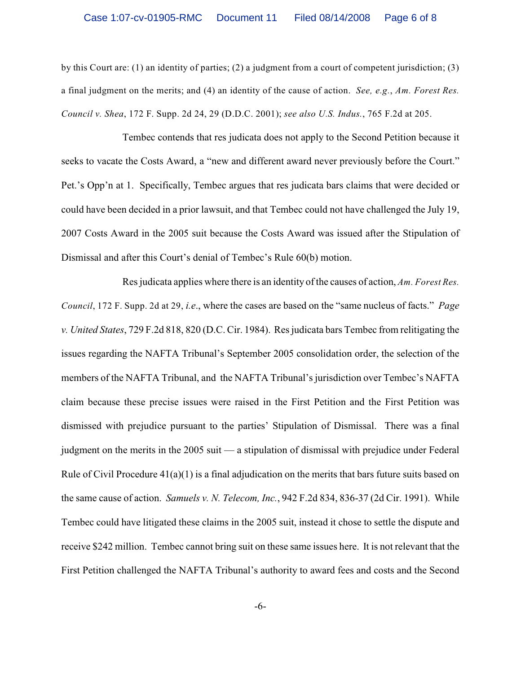by this Court are: (1) an identity of parties; (2) a judgment from a court of competent jurisdiction; (3) a final judgment on the merits; and (4) an identity of the cause of action. *See, e.g.*, *Am. Forest Res. Council v. Shea*, 172 F. Supp. 2d 24, 29 (D.D.C. 2001); *see also U.S. Indus.*, 765 F.2d at 205.

Tembec contends that res judicata does not apply to the Second Petition because it seeks to vacate the Costs Award, a "new and different award never previously before the Court." Pet.'s Opp'n at 1. Specifically, Tembec argues that res judicata bars claims that were decided or could have been decided in a prior lawsuit, and that Tembec could not have challenged the July 19, 2007 Costs Award in the 2005 suit because the Costs Award was issued after the Stipulation of Dismissal and after this Court's denial of Tembec's Rule 60(b) motion.

Res judicata applies where there is an identity of the causes of action, *Am. Forest Res. Council*, 172 F. Supp. 2d at 29, *i.e*., where the cases are based on the "same nucleus of facts." *Page v. United States*, 729 F.2d 818, 820 (D.C. Cir. 1984). Res judicata bars Tembec from relitigating the issues regarding the NAFTA Tribunal's September 2005 consolidation order, the selection of the members of the NAFTA Tribunal, and the NAFTA Tribunal's jurisdiction over Tembec's NAFTA claim because these precise issues were raised in the First Petition and the First Petition was dismissed with prejudice pursuant to the parties' Stipulation of Dismissal. There was a final judgment on the merits in the 2005 suit — a stipulation of dismissal with prejudice under Federal Rule of Civil Procedure 41(a)(1) is a final adjudication on the merits that bars future suits based on the same cause of action. *Samuels v. N. Telecom, Inc.*, 942 F.2d 834, 836-37 (2d Cir. 1991). While Tembec could have litigated these claims in the 2005 suit, instead it chose to settle the dispute and receive \$242 million. Tembec cannot bring suit on these same issues here. It is not relevant that the First Petition challenged the NAFTA Tribunal's authority to award fees and costs and the Second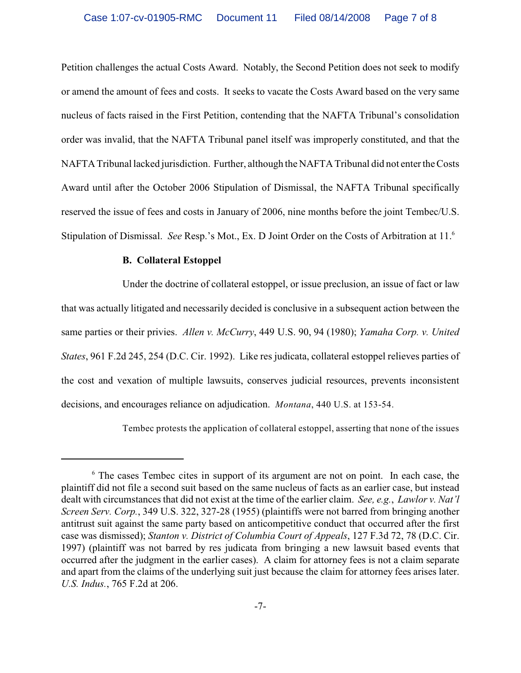Petition challenges the actual Costs Award. Notably, the Second Petition does not seek to modify or amend the amount of fees and costs. It seeks to vacate the Costs Award based on the very same nucleus of facts raised in the First Petition, contending that the NAFTA Tribunal's consolidation order was invalid, that the NAFTA Tribunal panel itself was improperly constituted, and that the NAFTA Tribunal lacked jurisdiction. Further, although the NAFTA Tribunal did not enter the Costs Award until after the October 2006 Stipulation of Dismissal, the NAFTA Tribunal specifically reserved the issue of fees and costs in January of 2006, nine months before the joint Tembec/U.S. Stipulation of Dismissal. *See* Resp.'s Mot., Ex. D Joint Order on the Costs of Arbitration at 11.<sup>6</sup>

### **B. Collateral Estoppel**

Under the doctrine of collateral estoppel, or issue preclusion, an issue of fact or law that was actually litigated and necessarily decided is conclusive in a subsequent action between the same parties or their privies. *Allen v. McCurry*, 449 U.S. 90, 94 (1980); *Yamaha Corp. v. United States*, 961 F.2d 245, 254 (D.C. Cir. 1992). Like res judicata, collateral estoppel relieves parties of the cost and vexation of multiple lawsuits, conserves judicial resources, prevents inconsistent decisions, and encourages reliance on adjudication. *Montana*, 440 U.S. at 153-54.

Tembec protests the application of collateral estoppel, asserting that none of the issues

 $<sup>6</sup>$  The cases Tembec cites in support of its argument are not on point. In each case, the</sup> plaintiff did not file a second suit based on the same nucleus of facts as an earlier case, but instead dealt with circumstances that did not exist at the time of the earlier claim. *See, e.g.*, *Lawlor v. Nat'l Screen Serv. Corp.*, 349 U.S. 322, 327-28 (1955) (plaintiffs were not barred from bringing another antitrust suit against the same party based on anticompetitive conduct that occurred after the first case was dismissed); *Stanton v. District of Columbia Court of Appeals*, 127 F.3d 72, 78 (D.C. Cir. 1997) (plaintiff was not barred by res judicata from bringing a new lawsuit based events that occurred after the judgment in the earlier cases). A claim for attorney fees is not a claim separate and apart from the claims of the underlying suit just because the claim for attorney fees arises later. *U.S. Indus.*, 765 F.2d at 206.